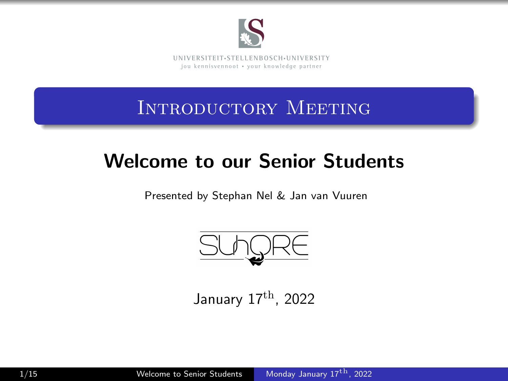

Introductory Meeting

## Welcome to our Senior Students

Presented by Stephan Nel & Jan van Vuuren



<span id="page-0-0"></span>January 17th, 2022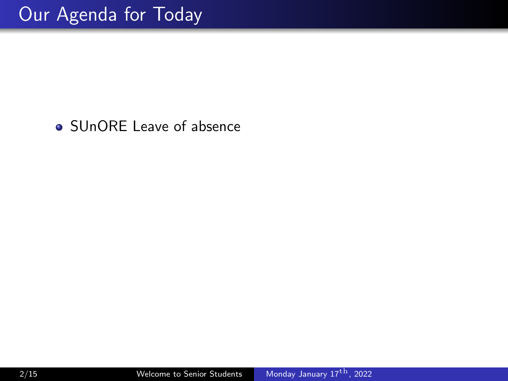• SUnORE Leave of absence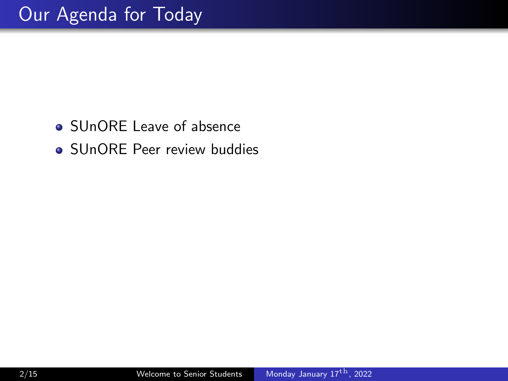- SUnORE Leave of absence
- SUnORE Peer review buddies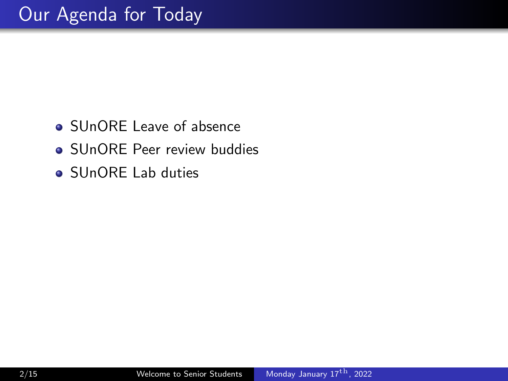- SUnORE Leave of absence
- SUnORE Peer review buddies
- SUnORE Lab duties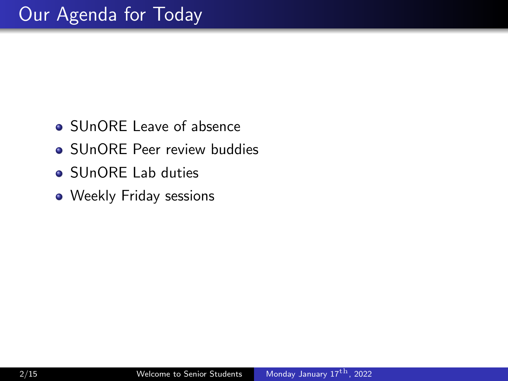- SUnORE Leave of absence
- SUnORE Peer review buddies
- SUnORE Lab duties
- Weekly Friday sessions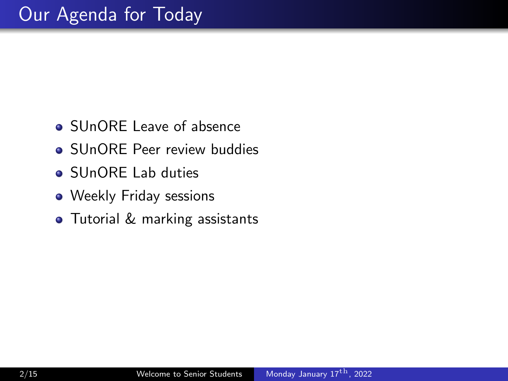- SUnORE Leave of absence
- **SUnORE Peer review buddies**
- SUnORE Lab duties
- Weekly Friday sessions
- **•** Tutorial & marking assistants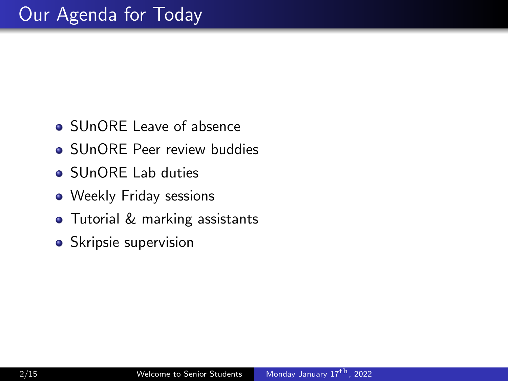- SUnORE Leave of absence
- **SUnORE Peer review buddies**
- SUnORE Lab duties
- Weekly Friday sessions
- **•** Tutorial & marking assistants
- Skripsie supervision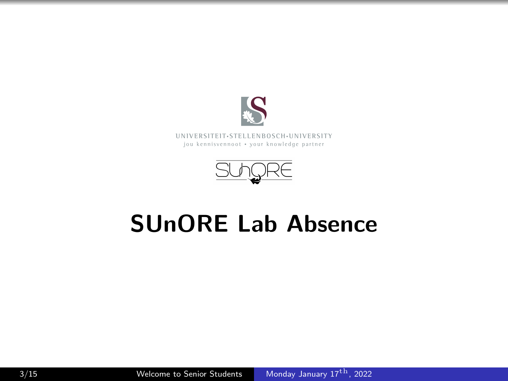



## SUnORE Lab Absence

 $3/15$  Welcome to Senior Students Monday January  $17<sup>th</sup>$ , 2022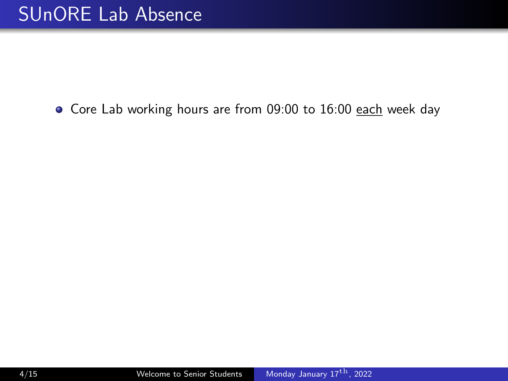#### • Core Lab working hours are from 09:00 to 16:00 each week day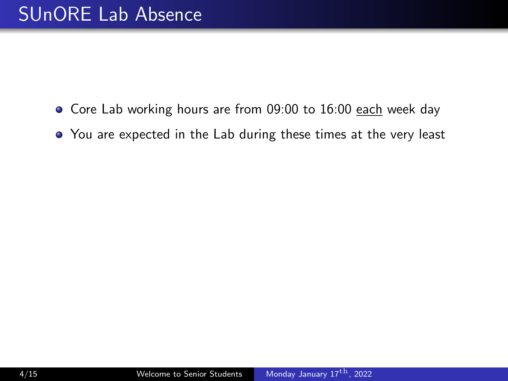- Core Lab working hours are from 09:00 to 16:00 each week day
- You are expected in the Lab during these times at the very least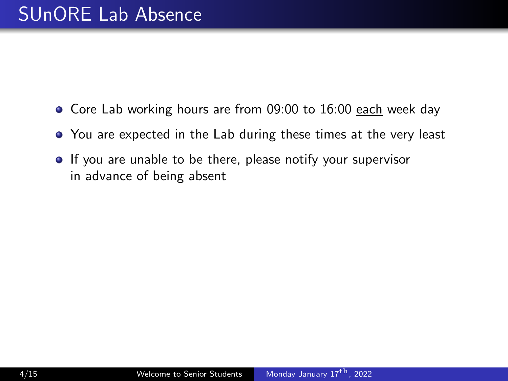- Core Lab working hours are from 09:00 to 16:00 each week day
- You are expected in the Lab during these times at the very least
- **If** you are unable to be there, please notify your supervisor in advance of being absent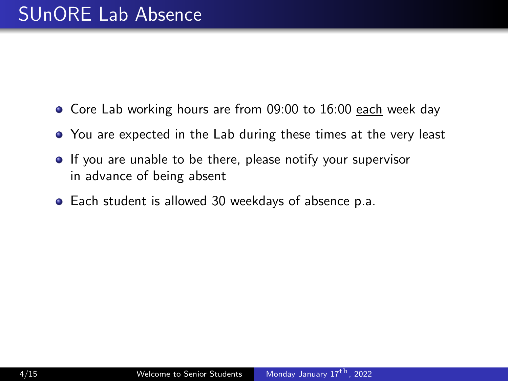- Core Lab working hours are from 09:00 to 16:00 each week day
- You are expected in the Lab during these times at the very least
- **If** you are unable to be there, please notify your supervisor in advance of being absent
- Each student is allowed 30 weekdays of absence p.a.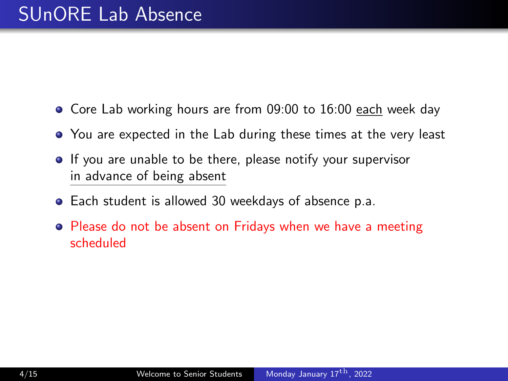- Core Lab working hours are from 09:00 to 16:00 each week day
- You are expected in the Lab during these times at the very least
- **If** you are unable to be there, please notify your supervisor in advance of being absent
- Each student is allowed 30 weekdays of absence p.a.
- Please do not be absent on Fridays when we have a meeting scheduled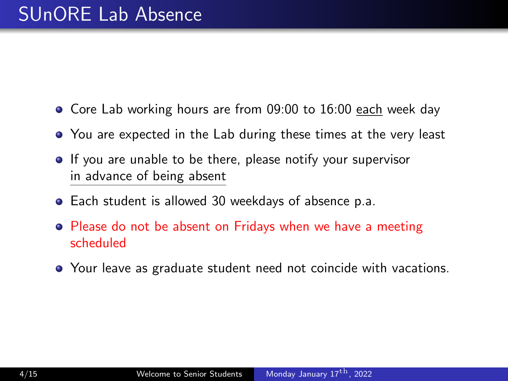- Core Lab working hours are from 09:00 to 16:00 each week day
- You are expected in the Lab during these times at the very least
- **If** you are unable to be there, please notify your supervisor in advance of being absent
- Each student is allowed 30 weekdays of absence p.a.
- Please do not be absent on Fridays when we have a meeting scheduled
- Your leave as graduate student need not coincide with vacations.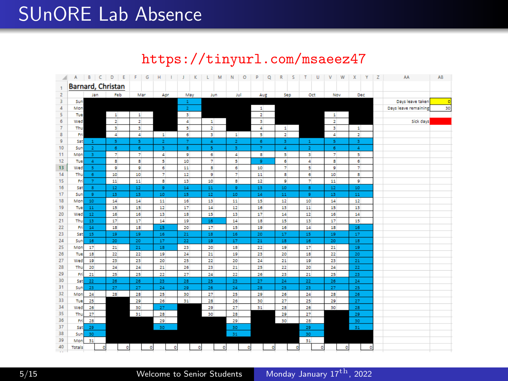## SUnORE Lab Absence

#### https://tinyurl.com/msaeez47

| ◢              | A                 | B C            | D<br>E<br>٠             | F<br>$\mathsf{G}$        | H                       | К<br>J.                 | M<br>Ł            | N<br>$\circ$            | P<br>Q                   | $\mathbb{R}$<br>$\mathsf{s}$ | $\top$<br>U              | $\mathbf{v}$<br>W     | $\mathbf x$<br>Y | Z | AA                   | AB      |
|----------------|-------------------|----------------|-------------------------|--------------------------|-------------------------|-------------------------|-------------------|-------------------------|--------------------------|------------------------------|--------------------------|-----------------------|------------------|---|----------------------|---------|
|                | Barnard, Christan |                |                         |                          |                         |                         |                   |                         |                          |                              |                          |                       |                  |   |                      |         |
| $\overline{2}$ |                   | Jan            | Feb                     | Mar                      | Apr                     | May                     | Jun               | Jul                     | AUE                      | Sep                          | Oct                      | Nov                   | Dec              |   |                      |         |
| 3              | Sun               |                |                         |                          |                         | $\Delta$                |                   |                         |                          |                              |                          |                       |                  |   | Days leave taken     | $\circ$ |
| 4              | Mon               |                |                         |                          |                         | $\overline{2}$          |                   |                         | $\mathbf{1}$             |                              |                          |                       |                  |   | Days leave remaining | 30      |
| 5              | Tue               |                | $\mathbf{1}$            | $\mathbf{1}$             |                         | ы                       |                   |                         | $\overline{z}$           |                              |                          | $\mathbf{1}$          |                  |   |                      |         |
| 6              | Wed               |                | $\overline{2}$          | $\overline{2}$           |                         | $\Delta$                | $\mathbf{1}$      |                         | $\overline{\phantom{a}}$ |                              |                          | $\overline{2}$        |                  |   | Sick days            |         |
| 7              | Thu               |                | $\overline{\mathbf{3}}$ | в                        |                         | s.                      | $\overline{2}$    |                         | 4                        | $\mathbf{1}$                 |                          | $\mathbf{B}$          | $\mathbf{1}$     |   |                      |         |
| 8              | Fri               |                | 4                       | 4                        | $\mathbf{1}$            | 6                       | $\mathbf{3}$      | $\mathbf{1}$            | 5                        | z                            |                          | 4                     | 2                |   |                      |         |
| 9              | Sat               | $-1$           | $\overline{\mathbf{5}}$ | $\overline{\mathbf{5}}$  | $\overline{\mathbf{2}}$ | $\overline{7}$          | $\Delta$          | $\overline{\mathbf{z}}$ | 6                        | 3                            | $\Delta$                 | 5                     | 3                |   |                      |         |
| 10             | Sun               | $\overline{2}$ | $\overline{6}$          | $\ddot{\phantom{a}}$     | 3                       | $\overline{\mathbf{8}}$ | -5                | 3                       | $\overline{7}$           | $\Delta$                     | $\overline{2}$           | $\overline{6}$        | 4                |   |                      |         |
| 11             | Mon               | 3              | 7                       | 7                        | 4                       | ø                       | $\overline{6}$    | 4                       | $\overline{\mathbf{s}}$  | 5                            | в                        | 7                     | 5                |   |                      |         |
| 12             | Tue               | $\overline{4}$ | $\mathbf{B}$            | $\overline{\phantom{a}}$ | s                       | 10                      | $\overline{\tau}$ | s                       | $\overline{9}$           | 6                            | 4                        | s                     | 6                |   |                      |         |
| 13             | Wed               | 5              | g.                      | g.                       | 6                       | 11                      | 8                 | 6                       | 10                       | $\overline{z}$               | 5                        | ø                     | $\overline{7}$   |   |                      |         |
| 14             | Thu               | $\epsilon$     | 10                      | 10                       | ÷                       | 12                      | $\bullet$         | 7                       | 11                       | s.                           | $\overline{\phantom{a}}$ | 10                    | s                |   |                      |         |
| 15             | Fri               | $\overline{7}$ | 11                      | 11                       | s                       | 13                      | 10                | $\overline{\mathbf{s}}$ | $12\,$                   | 9                            | $\overline{z}$           | $11\,$                | $\overline{9}$   |   |                      |         |
| 16             | Sat               | $\mathbf{8}$   | 12 <sub>12</sub>        | 12                       | $\mathsf{g}$            | $14\,$                  | $11\,$            | 9                       | 13                       | 10                           | $\mathbf{s}$             | $12\,$                | 10               |   |                      |         |
| 17             | Sun               | $\bullet$      | 13                      | 13                       | 10                      | 15                      | 12                | 10                      | 14                       | 11                           | <b>g</b>                 | 13                    | 11               |   |                      |         |
| 18             | Mon               | 10             | 14                      | 14                       | 11                      | 16                      | 13                | 11                      | 15                       | 12                           | 10                       | 14                    | 12               |   |                      |         |
| 19             | Tue               | 11             | 15                      | 15                       | 12                      | 17                      | 14                | 12                      | 16                       | 13                           | 11                       | 15                    | 13               |   |                      |         |
| 20             | Wed               | $12\,$         | 16                      | 16                       | $\overline{13}$         | 18                      | 15                | 13                      | 17                       | 14                           | 12                       | 16                    | 14               |   |                      |         |
| 21             | Thu               | 13             | 17                      | 17                       | 14                      | 19                      | 16                | 14                      | 18                       | 15                           | 13                       | 17                    | 15               |   |                      |         |
| 22             | Fri               | 14             | 18                      | 18                       | 15                      | 20                      | 17                | 15                      | 19                       | 16                           | 14                       | 18                    | 16               |   |                      |         |
| 23             | Sat               | 15             | 19<br>20                | 19                       | 16<br>17                | $\overline{21}$<br>22   | 18                | 16                      | 20<br>21                 | 17                           | 15                       | 19                    | 17               |   |                      |         |
| 24<br>25       | Sun               | 16<br>17       |                         | 20<br>21                 | 18                      | 23                      | 19<br>20          | 17                      |                          | 18<br>19                     | 16<br>17                 | 20                    | 18<br>19         |   |                      |         |
| 26             | Mon               | 18             | 21<br>22                | 22                       | 19                      | 24                      | 21                | 18<br>19                | 22<br>23                 | 20                           | 18                       | 21<br>$\overline{22}$ | 20               |   |                      |         |
| 27             | Tue<br>Wed        | 19             | 23                      | 23                       | 20                      | 25                      | 22                | 20                      | 24                       | 21                           | 19                       | 23                    | 21               |   |                      |         |
| 28             | Thu               | 20             | 24                      | 24                       | 21                      | 26                      | 23                | 21                      | 25                       | 22                           | 20                       | 24                    | 22               |   |                      |         |
| 29             | Fri               | 21             | 25                      | 25                       | 22                      | 27                      | 24                | 22                      | 26                       | 23                           | 21                       | 25                    | 23               |   |                      |         |
| 30             | Sat               | 22             | 26                      | 26                       | 23                      | 28                      | 25                | 23                      | 27                       | $24\,$                       | 22                       | 26                    | $24\,$           |   |                      |         |
| 31             | Sun               | 23             | 27                      | 27                       | 24                      | 29                      | 26                | 24                      | 28                       | 25                           | 23                       | 27                    | 25               |   |                      |         |
| 32             | Mon               | 24             | 28                      | 28                       | 25                      | 30                      | 27                | 25                      | 29                       | 26                           | 24                       | 28                    | 26               |   |                      |         |
| 33             | Tue               | 25             |                         | 29                       | 26                      | 31                      | 28                | 26                      | 30                       | 27                           | 25                       | 29                    | 27               |   |                      |         |
| 34             | Wed               | 26             |                         | 30                       | 27                      |                         | 29                | 27                      | 31                       | 28                           | 26                       | 30                    | 28               |   |                      |         |
| 35             | Thu               | 27             |                         | 31                       | 28                      |                         | 30                | 28                      |                          | 29                           | 27                       |                       | 29               |   |                      |         |
| 36             | ۴r                | 28             |                         |                          | 29                      |                         |                   | 29                      |                          | 30                           | 28                       |                       | 30               |   |                      |         |
| 37             | Sat               | 29             |                         |                          | 30                      |                         |                   | 30                      |                          |                              | 29                       |                       | 31               |   |                      |         |
| 38             | Sun               | 30             |                         |                          |                         |                         |                   | 31                      |                          |                              | 30                       |                       |                  |   |                      |         |
| 39             | Mon               | 31             |                         |                          |                         |                         |                   |                         |                          |                              | 31                       |                       |                  |   |                      |         |
| 40             | <b>Totals</b>     |                | ٥l<br>$\circ$           | ٥                        | $\bullet$               | ٥                       | $\bullet$         | $\circ$                 | ٥                        | ٥                            | $\mathbf{0}$             | $\bullet$             | $\circ$          |   |                      |         |
|                |                   |                |                         |                          |                         |                         |                   |                         |                          |                              |                          |                       |                  |   |                      |         |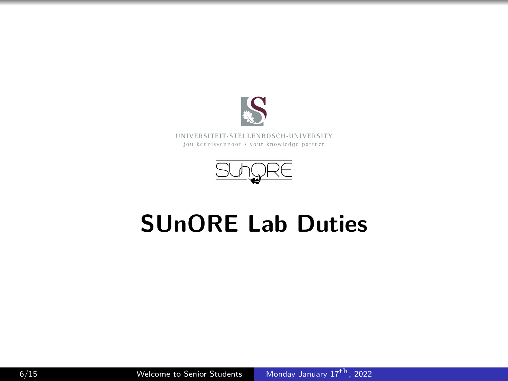

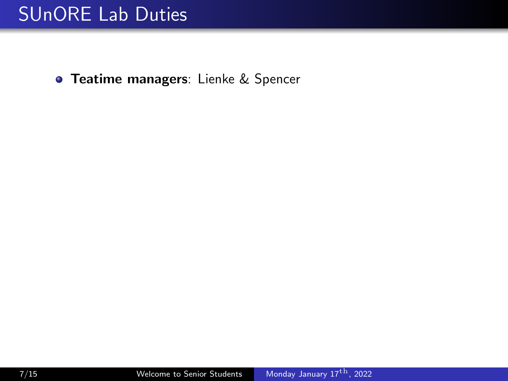**• Teatime managers:** Lienke & Spencer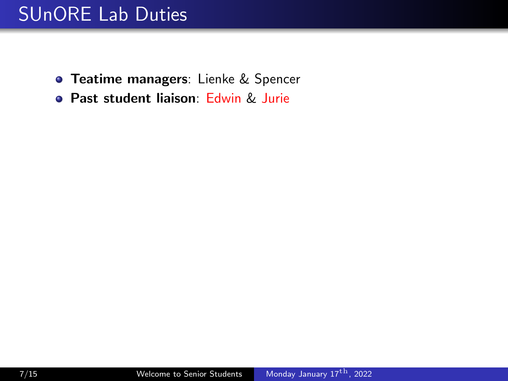- **Teatime managers:** Lienke & Spencer
- **Past student liaison: Edwin & Jurie**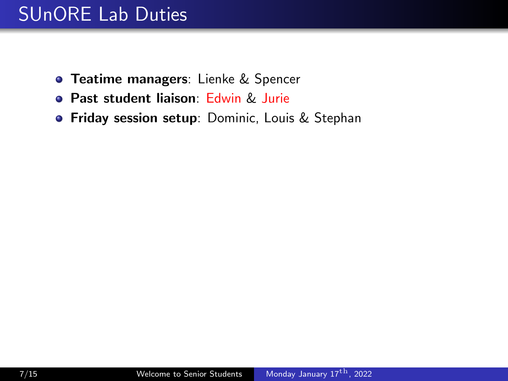- **Teatime managers:** Lienke & Spencer
- **Past student liaison: Edwin & Jurie**
- **Friday session setup**: Dominic, Louis & Stephan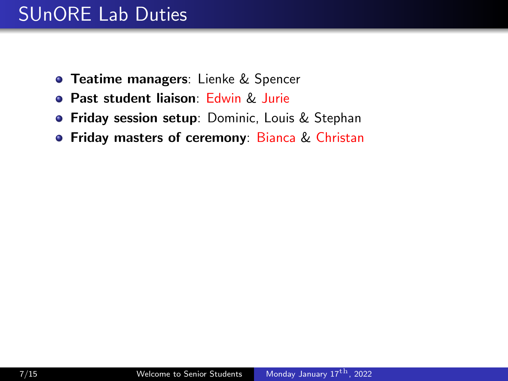- **Teatime managers**: Lienke & Spencer
- **Past student liaison: Edwin & Jurie**
- **Friday session setup**: Dominic, Louis & Stephan
- **Friday masters of ceremony: Bianca & Christan**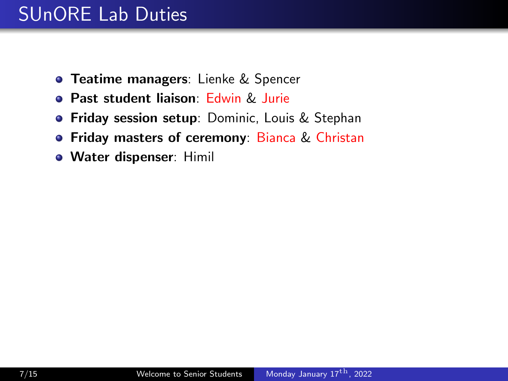- **Teatime managers:** Lienke & Spencer
- **Past student liaison: Edwin & Jurie**
- **Friday session setup**: Dominic, Louis & Stephan
- **Friday masters of ceremony: Bianca & Christan**
- **Water dispenser: Himil**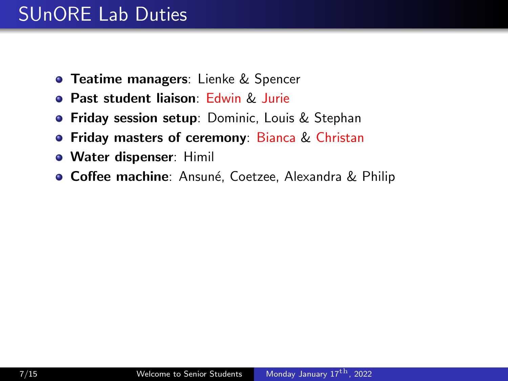- **Teatime managers:** Lienke & Spencer
- **Past student liaison: Edwin & Jurie**
- **Friday session setup**: Dominic, Louis & Stephan
- **Friday masters of ceremony: Bianca & Christan**
- **Water dispenser: Himil**
- **Coffee machine**: Ansuné, Coetzee, Alexandra & Philip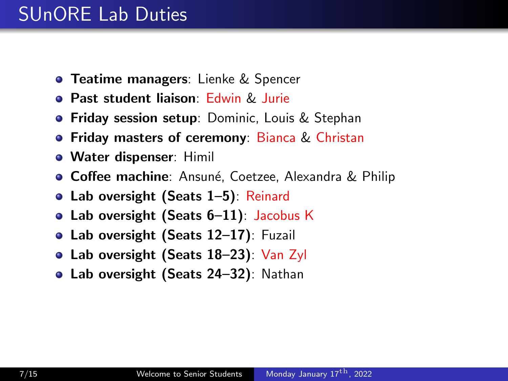- **Teatime managers:** Lienke & Spencer
- **Past student liaison: Edwin & Jurie**
- **Friday session setup**: Dominic, Louis & Stephan
- **Friday masters of ceremony: Bianca & Christan**
- **Water dispenser: Himil**
- **Coffee machine**: Ansuné, Coetzee, Alexandra & Philip
- Lab oversight (Seats 1–5): Reinard
- Lab oversight (Seats 6-11): Jacobus K
- **Lab oversight (Seats 12–17)**: Fuzail
- Lab oversight (Seats 18–23): Van Zyl
- Lab oversight (Seats 24–32): Nathan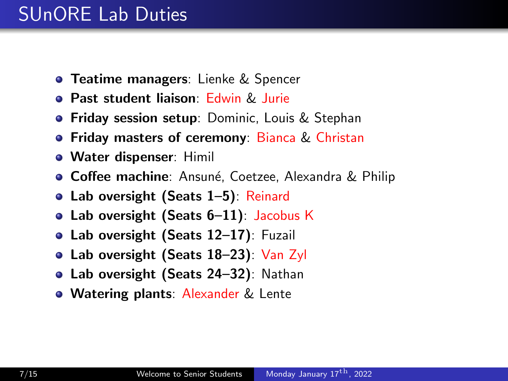- **Teatime managers:** Lienke & Spencer
- **Past student liaison: Edwin & Jurie**
- **Friday session setup**: Dominic, Louis & Stephan
- **Friday masters of ceremony: Bianca & Christan**
- **Water dispenser: Himil**
- **Coffee machine**: Ansuné, Coetzee, Alexandra & Philip
- Lab oversight (Seats 1–5): Reinard
- Lab oversight (Seats 6-11): Jacobus K
- **Lab oversight (Seats 12–17)**: Fuzail
- Lab oversight (Seats 18–23): Van Zyl
- Lab oversight (Seats 24–32): Nathan
- **Watering plants: Alexander & Lente**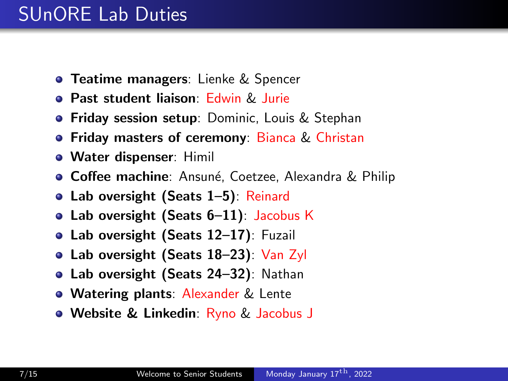- **Teatime managers:** Lienke & Spencer
- **Past student liaison: Edwin & Jurie**
- **Friday session setup**: Dominic, Louis & Stephan
- **Friday masters of ceremony: Bianca & Christan**
- **Water dispenser: Himil**
- **Coffee machine**: Ansuné, Coetzee, Alexandra & Philip
- Lab oversight (Seats 1–5): Reinard
- Lab oversight (Seats 6-11): Jacobus K
- **Lab oversight (Seats 12–17)**: Fuzail
- Lab oversight (Seats 18–23): Van Zyl
- Lab oversight (Seats 24–32): Nathan
- **Watering plants: Alexander & Lente**
- **Website & Linkedin**: Ryno & Jacobus J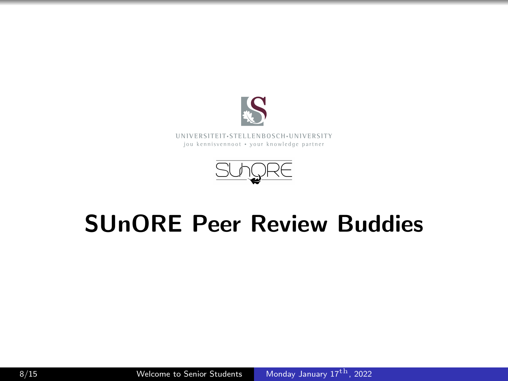



## SUnORE Peer Review Buddies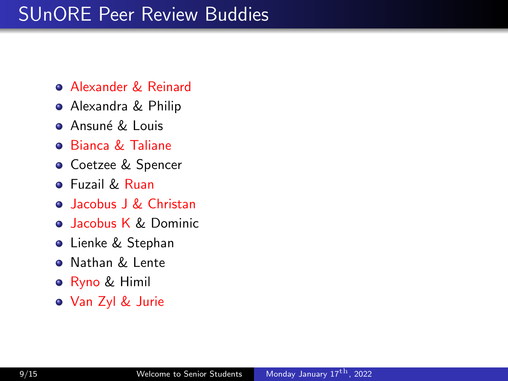## SUnORE Peer Review Buddies

- **Alexander & Reinard**
- Alexandra & Philip
- **Ansuné & Louis**
- Bianca & Taliane
- **o** Coetzee & Spencer
- **•** Fuzail & Ruan
- Jacobus J & Christan
- **Jacobus K & Dominic**
- **o** Lienke & Stephan
- **Q** Nathan & Lente
- **•** Ryno & Himil
- Van Zyl & Jurie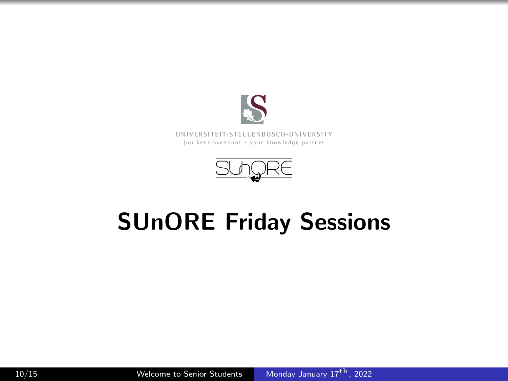



# SUnORE Friday Sessions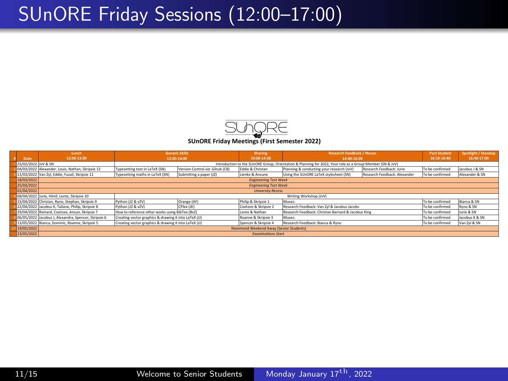#### SUnORE Friday Sessions (12:00–17:00)



**# Date Lunch 12:00‐13:00 Sharing 14:00‐14:30 Past Stud Spotlight / Standup 16:40‐17:00** 1 25/02/2022 JvV & SN 2 04/03/2022 Alexander, Louis, Nathan, Skripsie 12 | Typesetting text in LaTeX (SN) | Version Control vio Gihub (CB) | Eddie & Christan | Planning & conducting your research (JvV) | Research Feedback: Jurie | To be confirm 3 11/03/2022 Van Zyl, Eddie, Fuzail, Skripsie 11 | Typesetting maths in LaTeX (SN) | Submitting a paper (JZ) | Lienke & Ansune Using the SUnORE LaTeX stylesheet (SN) | Research Feedback: Alexander To be confirmed | Alexand ‐ 18/03/2022 ‐ 25/03/2022 ‐ 01/04/2022 4 Himil, Lente, Skripsie 10<br>Here Bury, Stephen, Skripsie 10  $\frac{1}{5}$ 15/04/2022 Christan, Ryno, Stephan, Skripsie 9 Python (12 & vZV) Orange (AF) Philip & Skripsie 1 Muses: To be confirmed Bianca & SN 6 22/04/2022 Jacobus K, Taliane, Philip, Skripsie 8 Coetzee & Skripsie 2 To be confirmed Ryno & SN 79/04/2022 Reinard, Coetzee, Ansun, Skripsie 7 How to reference other works using BibTex (BvZ) Lente & Nathan Research Feedback: Christan Barnard & Jacobus King To be confirmed Jurie & SN 8 06/05/2022 Jacobus J, Alexandra, Spencer, Skripsie 6 Roanne & Skripsie 3 To be confirmed Jacobus K & SN обкубудо2 (ассовит, Super State State State (Совет State State State State State State State State State State<br>2.13/05/2022 Blanca, Dominic, Roanne, Stripsies Creating wetter graphics & drawing it into The Conference of 10 19/05/2022 ‐ 23/05/2022 Kleinmond Weekend Away (Senior Students) *Examinations Start* Research Feedback: Bianca & Ryne Python (JZ & vZV) Orange (AF) Writing Workshop (JvV) Muses: Python (JZ & vZV) CPlex (JK) Coetzee & Skripsie 2 Research Feedback: Van Zyl & Jacobus Jacobs *Engineering Test Week Engineering Test Week* **Generic Skills 13:00‐14:00** Introduction to the SUnORE Group, Orientation & Planning for 2022, Your role as a Group Member (SN & JvV) Research Feedback: Christan Barnard & Jacobus King *University Recess* **Research Feedback / Muses 14:40‐16:00** Typesetting maths in LaTeX (SN) Submitting a paper (JZ) Typesetting text in LaTeX (SN) Version Control *via* Gihub (CB)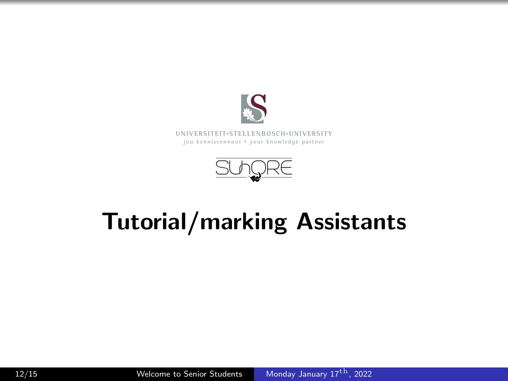



# Tutorial/marking Assistants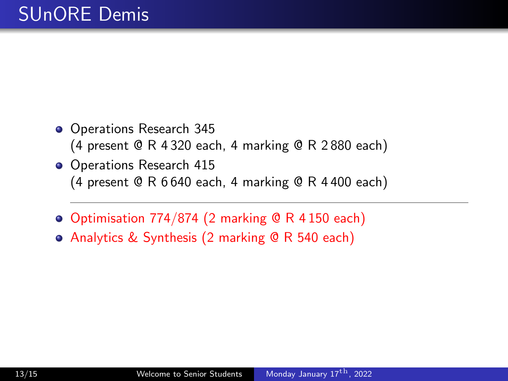- Operations Research 345 (4 present @ R 4 320 each, 4 marking @ R 2 880 each)
- Operations Research 415 (4 present @ R 6 640 each, 4 marking @ R 4 400 each)
- Optimisation 774/874 (2 marking @ R 4 150 each)
- Analytics & Synthesis (2 marking @ R 540 each)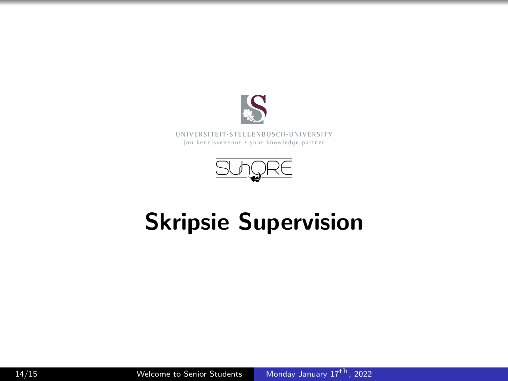



# Skripsie Supervision